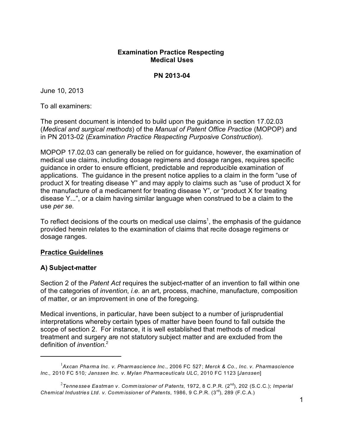# **Examination Practice Respecting Medical Uses**

**PN 2013-04**

June 10, 2013

To all examiners:

The present document is intended to build upon the guidance in section 17.02.03 (*Medical and surgical methods*) of the *Manual of Patent Office Practice* (MOPOP) and in PN 2013-02 (*Examination Practice Respecting Purposive Construction*).

MOPOP 17.02.03 can generally be relied on for guidance, however, the examination of medical use claims, including dosage regimens and dosage ranges, requires specific guidance in order to ensure efficient, predictable and reproducible examination of applications. The guidance in the present notice applies to a claim in the form "use of product X for treating disease Y" and may apply to claims such as "use of product X for the manufacture of a medicament for treating disease Y", or "product X for treating disease Y...", or a claim having similar language when construed to be a claim to the use *per se.* 

To reflect decisions of the courts on medical use claims<sup>1</sup>, the emphasis of the guidance provided herein relates to the examination of claims that recite dosage regimens or dosage ranges.

# **Practice Guidelines**

# **A) Subject-matter**

Section 2 of the *Patent Act* requires the subject-matter of an invention to fall within one of the categories of *invention*, *i.e.* an art, process, machine, manufacture, composition of matter, or an improvement in one of the foregoing.

Medical inventions, in particular, have been subject to a number of jurisprudential interpretations whereby certain types of matter have been found to fall outside the scope of section 2. For instance, it is well established that methods of medical treatment and surgery are not statutory subject matter and are excluded from the definition of *invention*. 2

<sup>1</sup> *Axcan Pharma Inc. v. Pharmascience Inc.,* 2006 FC 527; *Merck & Co., Inc. v. Pharmascience Inc.,* 2010 FC 510*; Janssen Inc. v. Mylan Pharmaceuticals ULC*, 2010 FC 1123 [*Janssen*]

<sup>2</sup> *Tennessee Eastman v. Comm issioner of Patents,* 1972, 8 C.P.R. (2nd), 202 (S.C.C.); *Imperial Chemical Industries Ltd. v. Comm issioner of Patents*, 1986, 9 C.P.R. (3rd), 289 (F.C.A.)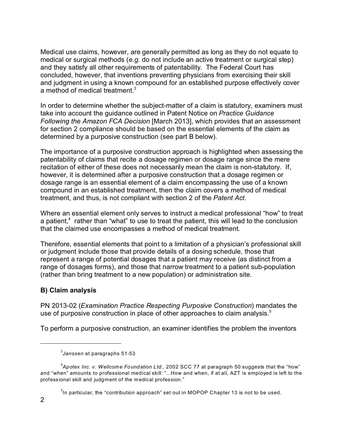Medical use claims, however, are generally permitted as long as they do not equate to medical or surgical methods (*e.g.* do not include an active treatment or surgical step) and they satisfy all other requirements of patentability. The Federal Court has concluded, however, that inventions preventing physicians from exercising their skill and judgment in using a known compound for an established purpose effectively cover a method of medical treatment.<sup>3</sup>

In order to determine whether the subject-matter of a claim is statutory, examiners must take into account the guidance outlined in Patent Notice on *Practice Guidance Following the Amazon FCA Decision* [March 2013], which provides that an assessment for section 2 compliance should be based on the essential elements of the claim as determined by a purposive construction (see part B below).

The importance of a purposive construction approach is highlighted when assessing the patentability of claims that recite a dosage regimen or dosage range since the mere recitation of either of these does not necessarily mean the claim is non-statutory. If, however, it is determined after a purposive construction that a dosage regimen or dosage range is an essential element of a claim encompassing the use of a known compound in an established treatment, then the claim covers a method of medical treatment, and thus, is not compliant with section 2 of the *Patent Act*.

Where an essential element only serves to instruct a medical professional "how" to treat a patient,<sup>4</sup> rather than "what" to use to treat the patient, this will lead to the conclusion that the claimed use encompasses a method of medical treatment.

Therefore, essential elements that point to a limitation of a physician's professional skill or judgment include those that provide details of a dosing schedule, those that represent a range of potential dosages that a patient may receive (as distinct from a range of dosages forms), and those that narrow treatment to a patient sub-population (rather than bring treatment to a new population) or administration site.

# **B) Claim analysis**

PN 2013-02 (*Examination Practice Respecting Purposive Construction*) mandates the use of purposive construction in place of other approaches to claim analysis.<sup>5</sup>

To perform a purposive construction, an examiner identifies the problem the inventors

 $^5$ In particular, the "contribution approach" set out in MOPOP Chapter 13 is not to be used.

<sup>3</sup> *Janssen* at paragraphs 51-53

<sup>4</sup> *Apotex Inc. v. Wellcome Foundation Ltd.,* 2002 SCC 77 at paragraph 50 suggests that the "how" and "when" amounts to professional medical skill: "...How and when, if at all, AZT is employed is left to the professional skill and judgment of the m edical profession."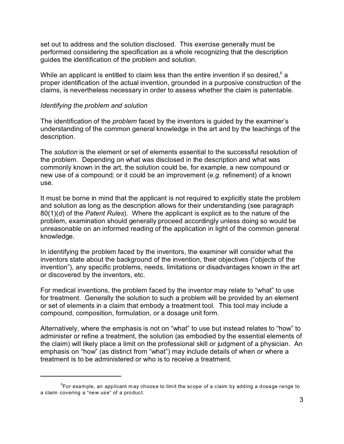set out to address and the solution disclosed. This exercise generally must be performed considering the specification as a whole recognizing that the description guides the identification of the problem and solution.

While an applicant is entitled to claim less than the entire invention if so desired, $^6$  a proper identification of the actual invention, grounded in a purposive construction of the claims, is nevertheless necessary in order to assess whether the claim is patentable.

### *Identifying the problem and solution*

The identification of the *problem* faced by the inventors is guided by the examiner's understanding of the common general knowledge in the art and by the teachings of the description.

The *solution* is the element or set of elements essential to the successful resolution of the problem. Depending on what was disclosed in the description and what was commonly known in the art, the solution could be, for example, a new compound or new use of a compound; or it could be an improvement (*e.g.* refinement) of a known use.

It must be borne in mind that the applicant is not required to explicitly state the problem and solution as long as the description allows for their understanding (see paragraph 80(1)(*d*) of the *Patent Rules*). Where the applicant is explicit as to the nature of the problem, examination should generally proceed accordingly unless doing so would be unreasonable on an informed reading of the application in light of the common general knowledge.

In identifying the problem faced by the inventors, the examiner will consider what the inventors state about the background of the invention, their objectives ("objects of the invention"), any specific problems, needs, limitations or disadvantages known in the art or discovered by the inventors, etc.

For medical inventions, the problem faced by the inventor may relate to "what" to use for treatment. Generally the solution to such a problem will be provided by an element or set of elements in a claim that embody a treatment tool. This tool may include a compound, composition, formulation, or a dosage unit form.

Alternatively, where the emphasis is not on "what" to use but instead relates to "how" to administer or refine a treatment, the solution (as embodied by the essential elements of the claim) will likely place a limit on the professional skill or judgment of a physician. An emphasis on "how" (as distinct from "what") may include details of when or where a treatment is to be administered or who is to receive a treatment.

 $^6$ For example, an applicant may choose to limit the scope of a claim by adding a dosage range to a claim covering a "new use" of a product.